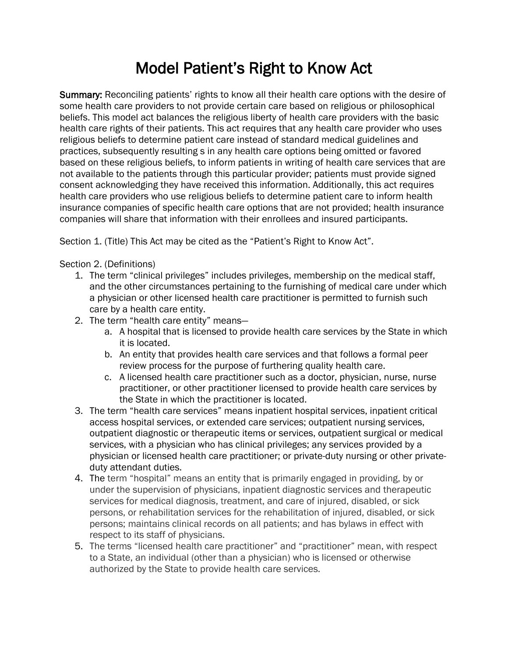## Model Patient's Right to Know Act

Summary: Reconciling patients' rights to know all their health care options with the desire of some health care providers to not provide certain care based on religious or philosophical beliefs. This model act balances the religious liberty of health care providers with the basic health care rights of their patients. This act requires that any health care provider who uses religious beliefs to determine patient care instead of standard medical guidelines and practices, subsequently resulting s in any health care options being omitted or favored based on these religious beliefs, to inform patients in writing of health care services that are not available to the patients through this particular provider; patients must provide signed consent acknowledging they have received this information. Additionally, this act requires health care providers who use religious beliefs to determine patient care to inform health insurance companies of specific health care options that are not provided; health insurance companies will share that information with their enrollees and insured participants.

Section 1. (Title) This Act may be cited as the "Patient's Right to Know Act".

Section 2. (Definitions)

- 1. The term "clinical privileges" includes privileges, membership on the medical staff, and the other circumstances pertaining to the furnishing of medical care under which a physician or other licensed health care practitioner is permitted to furnish such care by a health care entity.
- 2. The term "health care entity" means
	- a. A hospital that is licensed to provide health care services by the State in which it is located.
	- b. An entity that provides health care services and that follows a formal peer review process for the purpose of furthering quality health care.
	- c. A licensed health care practitioner such as a doctor, physician, nurse, nurse practitioner, or other practitioner licensed to provide health care services by the State in which the practitioner is located.
- 3. The term "health care services" means inpatient hospital services, inpatient critical access hospital services, or extended care services; outpatient nursing services, outpatient diagnostic or therapeutic items or services, outpatient surgical or medical services, with a physician who has clinical privileges; any services provided by a physician or licensed health care practitioner; or private-duty nursing or other privateduty attendant duties.
- 4. The term "hospital" means an entity that is primarily engaged in providing, by or under the supervision of physicians, inpatient diagnostic services and therapeutic services for medical diagnosis, treatment, and care of injured, disabled, or sick persons, or rehabilitation services for the rehabilitation of injured, disabled, or sick persons; maintains clinical records on all patients; and has bylaws in effect with respect to its staff of physicians.
- 5. The terms "licensed health care practitioner" and "practitioner" mean, with respect to a State, an individual (other than a physician) who is licensed or otherwise authorized by the State to provide health care services.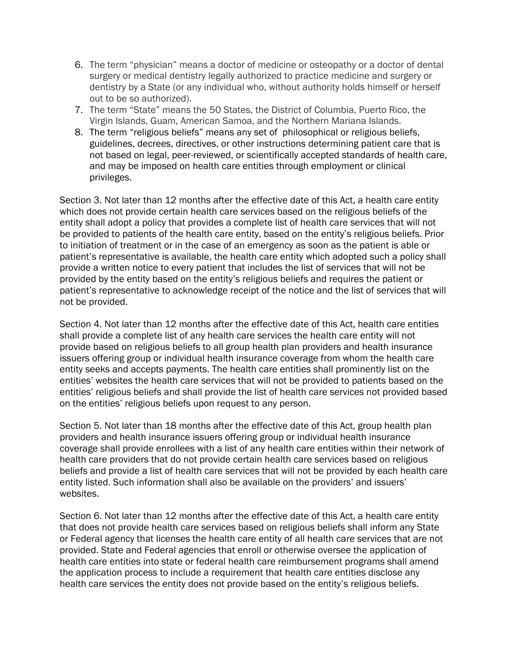- 6. The term "physician" means a doctor of medicine or osteopathy or a doctor of dental surgery or medical dentistry legally authorized to practice medicine and surgery or dentistry by a State (or any individual who, without authority holds himself or herself out to be so authorized).
- 7. The term "State" means the 50 States, the District of Columbia, Puerto Rico, the Virgin Islands, Guam, American Samoa, and the Northern Mariana Islands.
- 8. The term "religious beliefs" means any set of philosophical or religious beliefs, guidelines, decrees, directives, or other instructions determining patient care that is not based on legal, peer-reviewed, or scientifically accepted standards of health care, and may be imposed on health care entities through employment or clinical privileges.

Section 3. Not later than 12 months after the effective date of this Act, a health care entity which does not provide certain health care services based on the religious beliefs of the entity shall adopt a policy that provides a complete list of health care services that will not be provided to patients of the health care entity, based on the entity's religious beliefs. Prior to initiation of treatment or in the case of an emergency as soon as the patient is able or patient's representative is available, the health care entity which adopted such a policy shall provide a written notice to every patient that includes the list of services that will not be provided by the entity based on the entity's religious beliefs and requires the patient or patient's representative to acknowledge receipt of the notice and the list of services that will not be provided.

Section 4. Not later than 12 months after the effective date of this Act, health care entities shall provide a complete list of any health care services the health care entity will not provide based on religious beliefs to all group health plan providers and health insurance issuers offering group or individual health insurance coverage from whom the health care entity seeks and accepts payments. The health care entities shall prominently list on the entities' websites the health care services that will not be provided to patients based on the entities' religious beliefs and shall provide the list of health care services not provided based on the entities' religious beliefs upon request to any person.

Section 5. Not later than 18 months after the effective date of this Act, group health plan providers and health insurance issuers offering group or individual health insurance coverage shall provide enrollees with a list of any health care entities within their network of health care providers that do not provide certain health care services based on religious beliefs and provide a list of health care services that will not be provided by each health care entity listed. Such information shall also be available on the providers' and issuers' websites.

Section 6. Not later than 12 months after the effective date of this Act, a health care entity that does not provide health care services based on religious beliefs shall inform any State or Federal agency that licenses the health care entity of all health care services that are not provided. State and Federal agencies that enroll or otherwise oversee the application of health care entities into state or federal health care reimbursement programs shall amend the application process to include a requirement that health care entities disclose any health care services the entity does not provide based on the entity's religious beliefs.